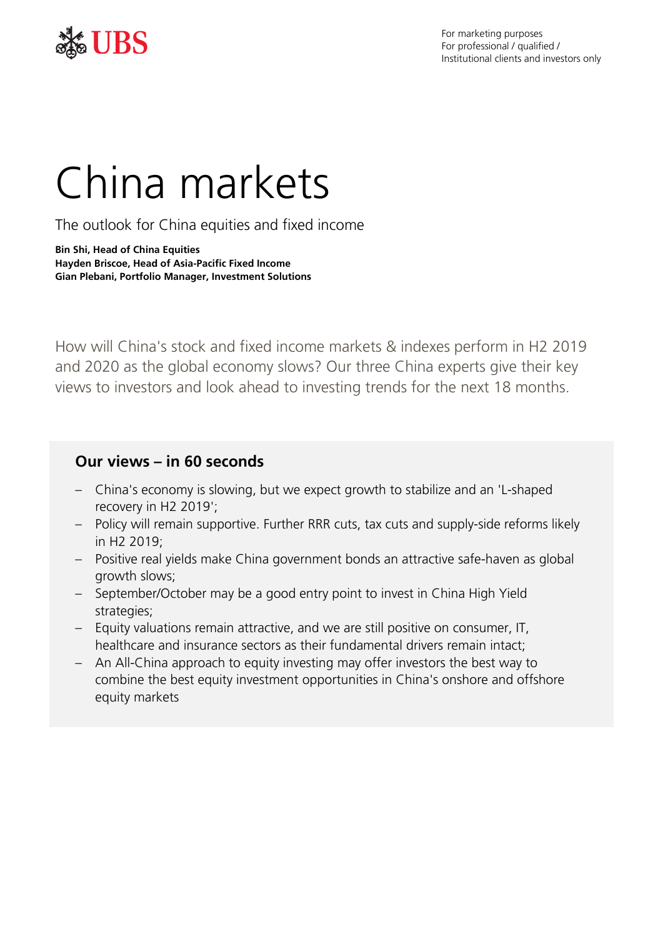

# China markets

The outlook for China equities and fixed income

**Bin Shi, Head of China Equities Hayden Briscoe, Head of Asia-Pacific Fixed Income Gian Plebani, Portfolio Manager, Investment Solutions**

How will China's stock and fixed income markets & indexes perform in H2 2019 and 2020 as the global economy slows? Our three China experts give their key views to investors and look ahead to investing trends for the next 18 months.

### **Our views – in 60 seconds**

- China's economy is slowing, but we expect growth to stabilize and an 'L-shaped recovery in H2 2019';
- Policy will remain supportive. Further RRR cuts, tax cuts and supply-side reforms likely in H2 2019;
- Positive real yields make China government bonds an attractive safe-haven as global growth slows;
- September/October may be a good entry point to invest in China High Yield strategies;
- Equity valuations remain attractive, and we are still positive on consumer, IT, healthcare and insurance sectors as their fundamental drivers remain intact;
- An All-China approach to equity investing may offer investors the best way to combine the best equity investment opportunities in China's onshore and offshore equity markets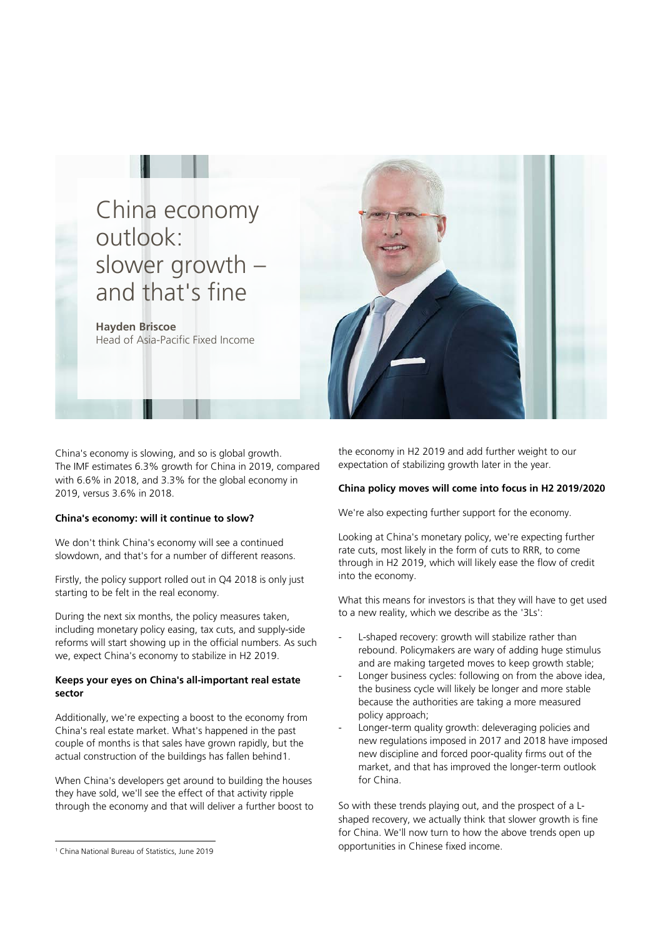## China economy outlook: slower growth – and that's fine

**Hayden Briscoe** Head of Asia-Pacific Fixed Income



China's economy is slowing, and so is global growth. The IMF estimates 6.3% growth for China in 2019, compared with 6.6% in 2018, and 3.3% for the global economy in 2019, versus 3.6% in 2018.

#### **China's economy: will it continue to slow?**

We don't think China's economy will see a continued slowdown, and that's for a number of different reasons.

Firstly, the policy support rolled out in Q4 2018 is only just starting to be felt in the real economy.

During the next six months, the policy measures taken, including monetary policy easing, tax cuts, and supply-side reforms will start showing up in the official numbers. As such we, expect China's economy to stabilize in H2 2019.

#### **Keeps your eyes on China's all-important real estate sector**

Additionally, we're expecting a boost to the economy from China's real estate market. What's happened in the past couple of months is that sales have grown rapidly, but the actual construction of the buildings has fallen behind[1.](#page-1-0)

When China's developers get around to building the houses they have sold, we'll see the effect of that activity ripple through the economy and that will deliver a further boost to the economy in H2 2019 and add further weight to our expectation of stabilizing growth later in the year.

#### **China policy moves will come into focus in H2 2019/2020**

We're also expecting further support for the economy.

Looking at China's monetary policy, we're expecting further rate cuts, most likely in the form of cuts to RRR, to come through in H2 2019, which will likely ease the flow of credit into the economy.

What this means for investors is that they will have to get used to a new reality, which we describe as the '3Ls':

- L-shaped recovery: growth will stabilize rather than rebound. Policymakers are wary of adding huge stimulus and are making targeted moves to keep growth stable;
- Longer business cycles: following on from the above idea, the business cycle will likely be longer and more stable because the authorities are taking a more measured policy approach;
- Longer-term quality growth: deleveraging policies and new regulations imposed in 2017 and 2018 have imposed new discipline and forced poor-quality firms out of the market, and that has improved the longer-term outlook for China.

So with these trends playing out, and the prospect of a Lshaped recovery, we actually think that slower growth is fine for China. We'll now turn to how the above trends open up opportunities in Chinese fixed income.

<span id="page-1-0"></span><sup>1</sup> China National Bureau of Statistics, June 2019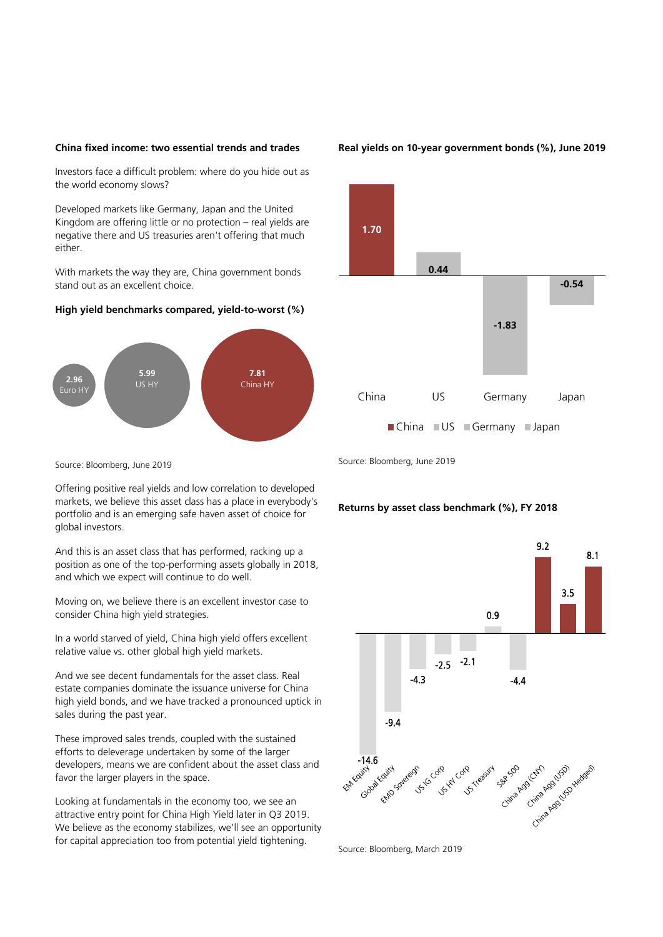#### **China fixed income: two essential trends and trades**

Investors face a difficult problem: where do you hide out as the world economy slows?

Developed markets like Germany, Japan and the United Kingdom are offering little or no protection – real yields are negative there and US treasuries aren't offering that much either.

With markets the way they are, China government bonds stand out as an excellent choice.

#### **High yield benchmarks compared, yield-to-worst (%)**



#### **Real yields on 10-year government bonds (%), June 2019**



Source: Bloomberg, June 2019

#### **Returns by asset class benchmark (%), FY 2018**



Source: Bloomberg, March 2019

Source: Bloomberg, June 2019

Offering positive real yields and low correlation to developed markets, we believe this asset class has a place in everybody's portfolio and is an emerging safe haven asset of choice for global investors.

And this is an asset class that has performed, racking up a position as one of the top-performing assets globally in 2018, and which we expect will continue to do well.

Moving on, we believe there is an excellent investor case to consider China high yield strategies.

In a world starved of yield, China high yield offers excellent relative value vs. other global high yield markets.

And we see decent fundamentals for the asset class. Real estate companies dominate the issuance universe for China high yield bonds, and we have tracked a pronounced uptick in sales during the past year.

These improved sales trends, coupled with the sustained efforts to deleverage undertaken by some of the larger developers, means we are confident about the asset class and favor the larger players in the space.

Looking at fundamentals in the economy too, we see an attractive entry point for China High Yield later in Q3 2019. We believe as the economy stabilizes, we'll see an opportunity for capital appreciation too from potential yield tightening.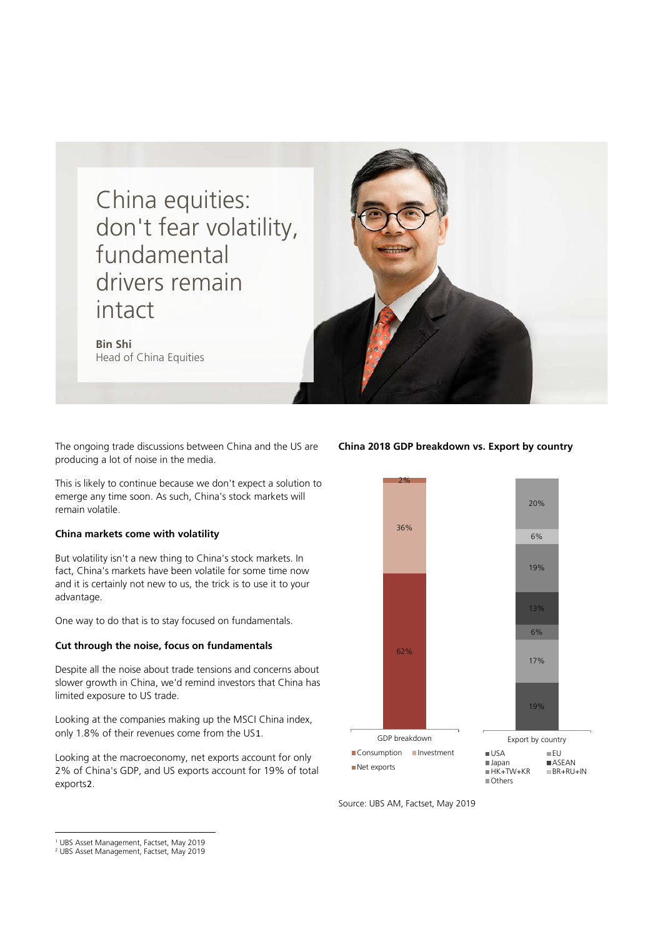

**Bin Shi** Head of China Equities



This is likely to continue because we don't expect a solution to emerge any time soon. As such, China's stock markets will remain volatile.

#### **China markets come with volatility**

But volatility isn't a new thing to China's stock markets. In fact, China's markets have been volatile for some time now and it is certainly not new to us, the trick is to use it to your advantage.

One way to do that is to stay focused on fundamentals.

#### **Cut through the noise, focus on fundamentals**

Despite all the noise about trade tensions and concerns about slower growth in China, we'd remind investors that China has limited exposure to US trade.

Looking at the companies making up the MSCI China index, only 1.8% of their revenues come from the US[1](#page-3-0).

Looking at the macroeconomy, net exports account for only 2% of China's GDP, and US exports account for 19% of total exports[2](#page-3-1).



#### **China 2018 GDP breakdown vs. Export by country**



Source: UBS AM, Factset, May 2019

<span id="page-3-0"></span><sup>1</sup> UBS Asset Management, Factset, May 2019

<span id="page-3-1"></span><sup>2</sup> UBS Asset Management, Factset, May 2019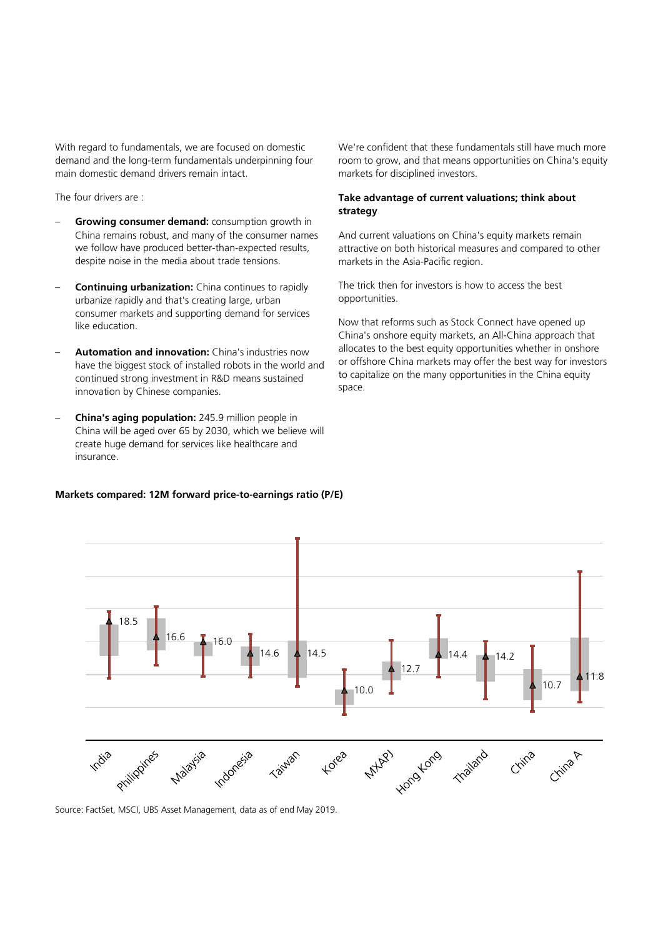With regard to fundamentals, we are focused on domestic demand and the long-term fundamentals underpinning four main domestic demand drivers remain intact.

The four drivers are :

- **Growing consumer demand:** consumption growth in China remains robust, and many of the consumer names we follow have produced better-than-expected results, despite noise in the media about trade tensions.
- **Continuing urbanization:** China continues to rapidly urbanize rapidly and that's creating large, urban consumer markets and supporting demand for services like education.
- **Automation and innovation:** China's industries now have the biggest stock of installed robots in the world and continued strong investment in R&D means sustained innovation by Chinese companies.
- **China's aging population:** 245.9 million people in China will be aged over 65 by 2030, which we believe will create huge demand for services like healthcare and insurance.

#### **Markets compared: 12M forward price-to-earnings ratio (P/E)**

We're confident that these fundamentals still have much more room to grow, and that means opportunities on China's equity markets for disciplined investors.

#### **Take advantage of current valuations; think about strategy**

And current valuations on China's equity markets remain attractive on both historical measures and compared to other markets in the Asia-Pacific region.

The trick then for investors is how to access the best opportunities.

Now that reforms such as Stock Connect have opened up China's onshore equity markets, an All-China approach that allocates to the best equity opportunities whether in onshore or offshore China markets may offer the best way for investors to capitalize on the many opportunities in the China equity space.



Source: FactSet, MSCI, UBS Asset Management, data as of end May 2019.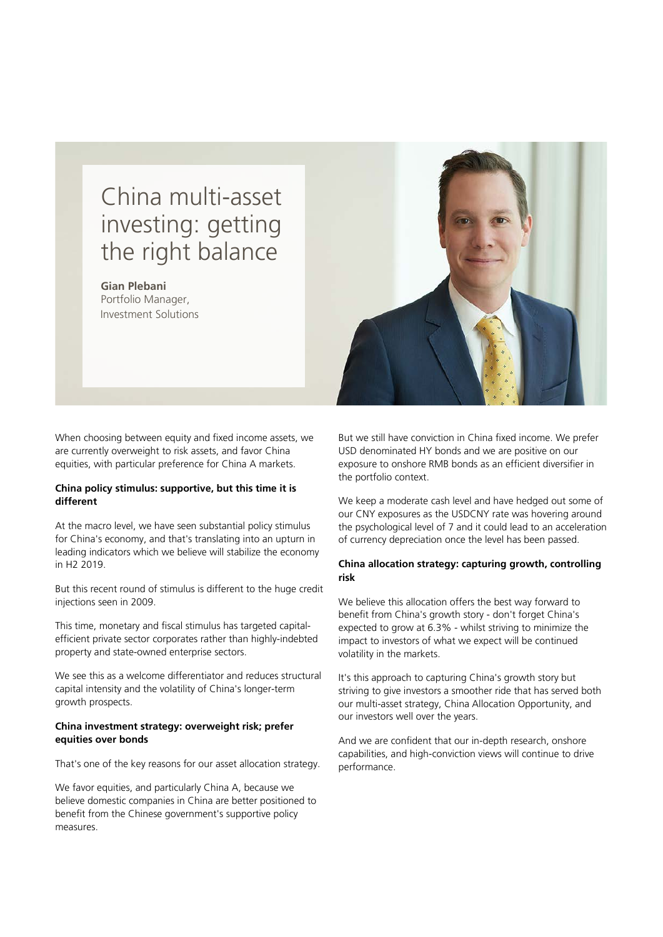# China multi-asset investing: getting the right balance

**Gian Plebani** Portfolio Manager, Investment Solutions



When choosing between equity and fixed income assets, we are currently overweight to risk assets, and favor China equities, with particular preference for China A markets.

#### **China policy stimulus: supportive, but this time it is different**

At the macro level, we have seen substantial policy stimulus for China's economy, and that's translating into an upturn in leading indicators which we believe will stabilize the economy in H2 2019.

But this recent round of stimulus is different to the huge credit injections seen in 2009.

This time, monetary and fiscal stimulus has targeted capitalefficient private sector corporates rather than highly-indebted property and state-owned enterprise sectors.

We see this as a welcome differentiator and reduces structural capital intensity and the volatility of China's longer-term growth prospects.

#### **China investment strategy: overweight risk; prefer equities over bonds**

That's one of the key reasons for our asset allocation strategy.

We favor equities, and particularly China A, because we believe domestic companies in China are better positioned to benefit from the Chinese government's supportive policy measures.

But we still have conviction in China fixed income. We prefer USD denominated HY bonds and we are positive on our exposure to onshore RMB bonds as an efficient diversifier in the portfolio context.

We keep a moderate cash level and have hedged out some of our CNY exposures as the USDCNY rate was hovering around the psychological level of 7 and it could lead to an acceleration of currency depreciation once the level has been passed.

#### **China allocation strategy: capturing growth, controlling risk**

We believe this allocation offers the best way forward to benefit from China's growth story - don't forget China's expected to grow at 6.3% - whilst striving to minimize the impact to investors of what we expect will be continued volatility in the markets.

It's this approach to capturing China's growth story but striving to give investors a smoother ride that has served both our multi-asset strategy, China Allocation Opportunity, and our investors well over the years.

And we are confident that our in-depth research, onshore capabilities, and high-conviction views will continue to drive performance.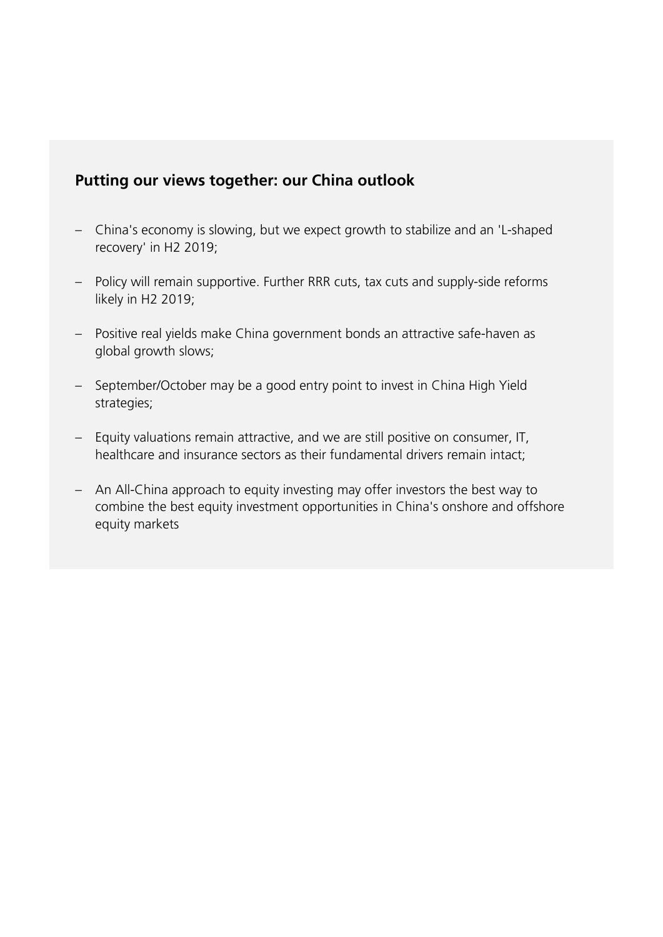## **Putting our views together: our China outlook**

- China's economy is slowing, but we expect growth to stabilize and an 'L-shaped recovery' in H2 2019;
- Policy will remain supportive. Further RRR cuts, tax cuts and supply-side reforms likely in H2 2019;
- Positive real yields make China government bonds an attractive safe-haven as global growth slows;
- September/October may be a good entry point to invest in China High Yield strategies;
- Equity valuations remain attractive, and we are still positive on consumer, IT, healthcare and insurance sectors as their fundamental drivers remain intact;
- An All-China approach to equity investing may offer investors the best way to combine the best equity investment opportunities in China's onshore and offshore equity markets